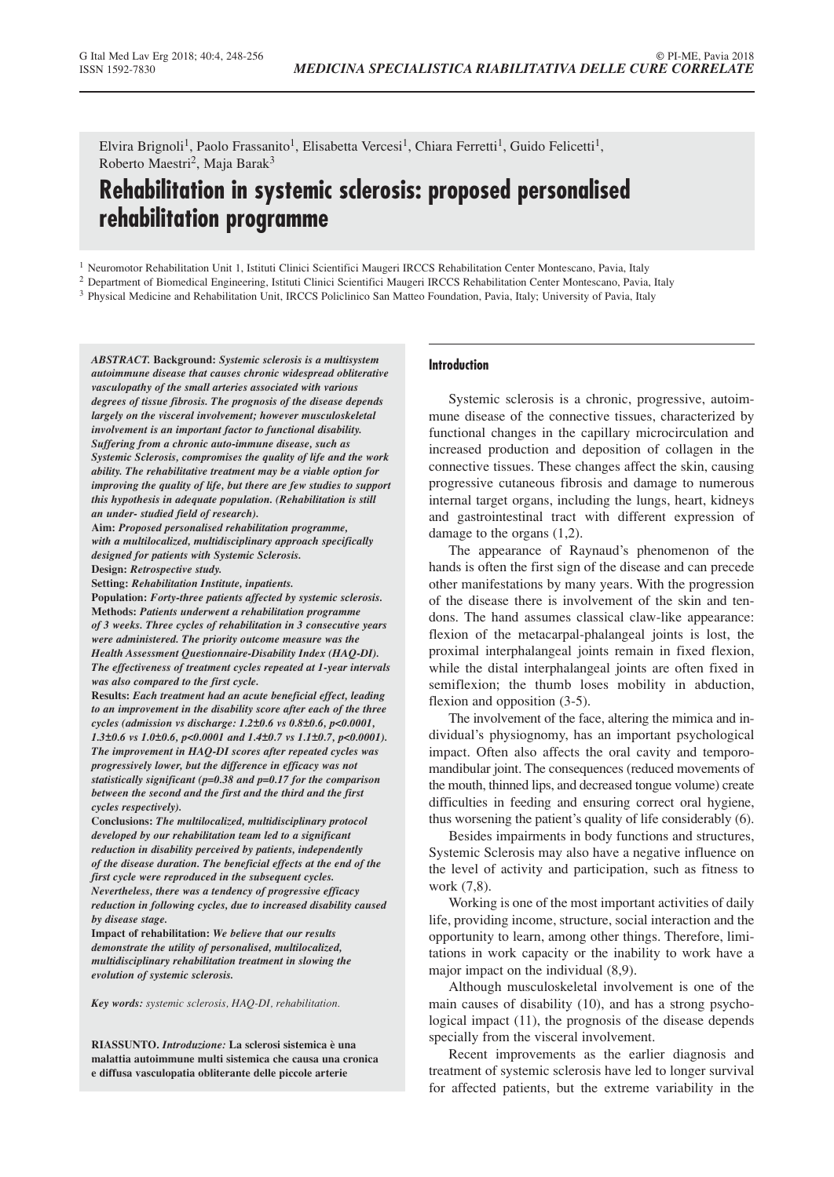Elvira Brignoli<sup>1</sup>, Paolo Frassanito<sup>1</sup>, Elisabetta Vercesi<sup>1</sup>, Chiara Ferretti<sup>1</sup>, Guido Felicetti<sup>1</sup>, Roberto Maestri2, Maja Barak3

# **Rehabilitation in systemic sclerosis: proposed personalised rehabilitation programme**

<sup>1</sup> Neuromotor Rehabilitation Unit 1, Istituti Clinici Scientifici Maugeri IRCCS Rehabilitation Center Montescano, Pavia, Italy

<sup>2</sup> Department of Biomedical Engineering, Istituti Clinici Scientifici Maugeri IRCCS Rehabilitation Center Montescano, Pavia, Italy

<sup>3</sup> Physical Medicine and Rehabilitation Unit, IRCCS Policlinico San Matteo Foundation, Pavia, Italy; University of Pavia, Italy

*ABSTRACT.* **Background:** *Systemic sclerosis is a multisystem autoimmune disease that causes chronic widespread obliterative vasculopathy of the small arteries associated with various degrees of tissue fibrosis. The prognosis of the disease depends largely on the visceral involvement; however musculoskeletal involvement is an important factor to functional disability. Suffering from a chronic auto-immune disease, such as Systemic Sclerosis, compromises the quality of life and the work ability. The rehabilitative treatment may be a viable option for improving the quality of life, but there are few studies to support this hypothesis in adequate population. (Rehabilitation is still an under- studied field of research).*

**Aim:** *Proposed personalised rehabilitation programme, with a multilocalized, multidisciplinary approach specifically designed for patients with Systemic Sclerosis.* **Design:** *Retrospective study.*

**Setting:** *Rehabilitation Institute, inpatients.*

**Population:** *Forty-three patients affected by systemic sclerosis.* **Methods:** *Patients underwent a rehabilitation programme of 3 weeks. Three cycles of rehabilitation in 3 consecutive years were administered. The priority outcome measure was the Health Assessment Questionnaire-Disability Index (HAQ-DI). The effectiveness of treatment cycles repeated at 1-year intervals was also compared to the first cycle.*

**Results:** *Each treatment had an acute beneficial effect, leading to an improvement in the disability score after each of the three cycles (admission vs discharge: 1.2±0.6 vs 0.8±0.6, p<0.0001, 1.3±0.6 vs 1.0±0.6, p<0.0001 and 1.4±0.7 vs 1.1±0.7, p<0.0001). The improvement in HAQ-DI scores after repeated cycles was progressively lower, but the difference in efficacy was not statistically significant (p=0.38 and p=0.17 for the comparison between the second and the first and the third and the first cycles respectively).*

**Conclusions:** *The multilocalized, multidisciplinary protocol developed by our rehabilitation team led to a significant reduction in disability perceived by patients, independently of the disease duration. The beneficial effects at the end of the first cycle were reproduced in the subsequent cycles. Nevertheless, there was a tendency of progressive efficacy reduction in following cycles, due to increased disability caused by disease stage.*

**Impact of rehabilitation:** *We believe that our results demonstrate the utility of personalised, multilocalized, multidisciplinary rehabilitation treatment in slowing the evolution of systemic sclerosis.*

*Key words: systemic sclerosis, HAQ-DI, rehabilitation.*

**RIASSUNTO.** *Introduzione:* **La sclerosi sistemica è una malattia autoimmune multi sistemica che causa una cronica e diffusa vasculopatia obliterante delle piccole arterie**

#### **Introduction**

Systemic sclerosis is a chronic, progressive, autoimmune disease of the connective tissues, characterized by functional changes in the capillary microcirculation and increased production and deposition of collagen in the connective tissues. These changes affect the skin, causing progressive cutaneous fibrosis and damage to numerous internal target organs, including the lungs, heart, kidneys and gastrointestinal tract with different expression of damage to the organs (1,2).

The appearance of Raynaud's phenomenon of the hands is often the first sign of the disease and can precede other manifestations by many years. With the progression of the disease there is involvement of the skin and tendons. The hand assumes classical claw-like appearance: flexion of the metacarpal-phalangeal joints is lost, the proximal interphalangeal joints remain in fixed flexion, while the distal interphalangeal joints are often fixed in semiflexion; the thumb loses mobility in abduction, flexion and opposition (3-5).

The involvement of the face, altering the mimica and individual's physiognomy, has an important psychological impact. Often also affects the oral cavity and temporomandibular joint. The consequences (reduced movements of the mouth, thinned lips, and decreased tongue volume) create difficulties in feeding and ensuring correct oral hygiene, thus worsening the patient's quality of life considerably (6).

Besides impairments in body functions and structures, Systemic Sclerosis may also have a negative influence on the level of activity and participation, such as fitness to work (7,8).

Working is one of the most important activities of daily life, providing income, structure, social interaction and the opportunity to learn, among other things. Therefore, limitations in work capacity or the inability to work have a major impact on the individual (8,9).

Although musculoskeletal involvement is one of the main causes of disability (10), and has a strong psychological impact (11), the prognosis of the disease depends specially from the visceral involvement.

Recent improvements as the earlier diagnosis and treatment of systemic sclerosis have led to longer survival for affected patients, but the extreme variability in the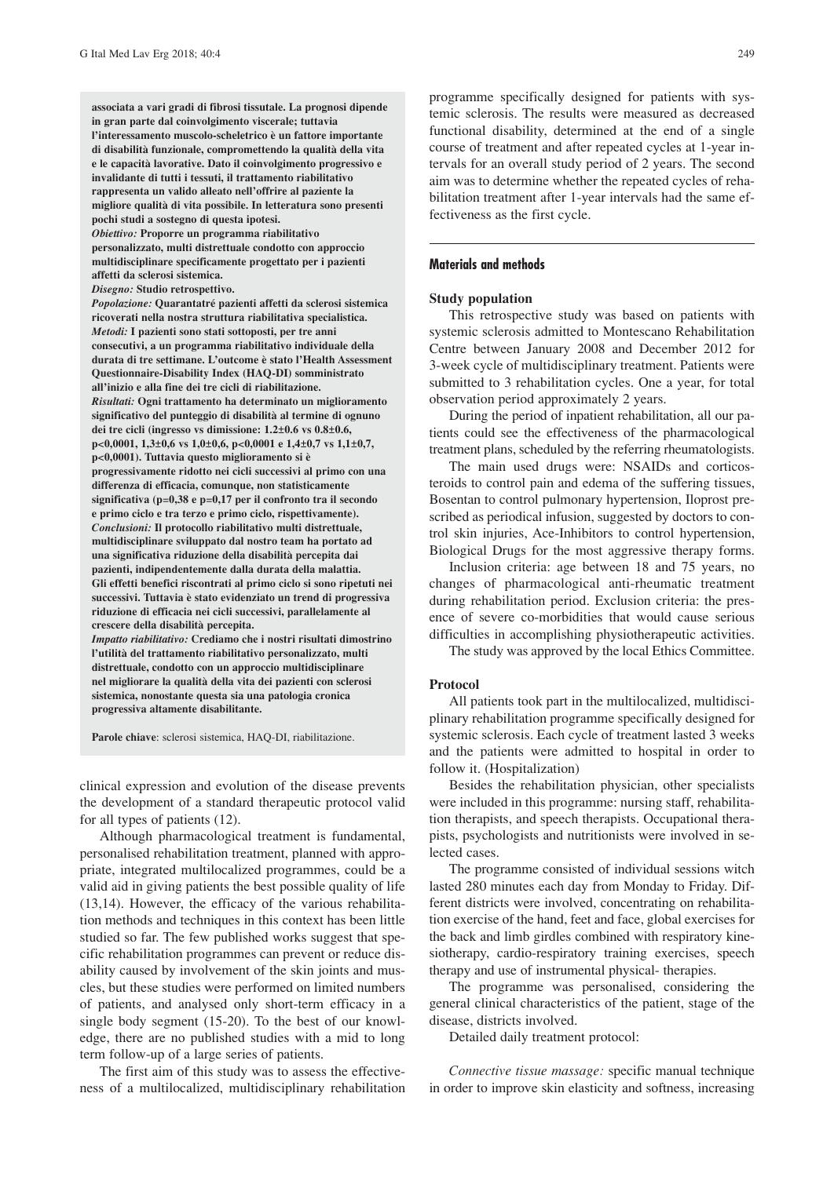**associata a vari gradi di fibrosi tissutale. La prognosi dipende in gran parte dal coinvolgimento viscerale; tuttavia l'interessamento muscolo-scheletrico è un fattore importante di disabilità funzionale, compromettendo la qualità della vita e le capacità lavorative. Dato il coinvolgimento progressivo e invalidante di tutti i tessuti, il trattamento riabilitativo rappresenta un valido alleato nell'offrire al paziente la migliore qualità di vita possibile. In letteratura sono presenti pochi studi a sostegno di questa ipotesi.** *Obiettivo:* **Proporre un programma riabilitativo personalizzato, multi distrettuale condotto con approccio**

**multidisciplinare specificamente progettato per i pazienti affetti da sclerosi sistemica.**

*Disegno:* **Studio retrospettivo.**

*Popolazione:* **Quarantatré pazienti affetti da sclerosi sistemica ricoverati nella nostra struttura riabilitativa specialistica.** *Metodi:* **I pazienti sono stati sottoposti, per tre anni consecutivi, a un programma riabilitativo individuale della durata di tre settimane. L'outcome è stato l'Health Assessment Questionnaire-Disability Index (HAQ-DI) somministrato all'inizio e alla fine dei tre cicli di riabilitazione.** *Risultati:* **Ogni trattamento ha determinato un miglioramento significativo del punteggio di disabilità al termine di ognuno dei tre cicli (ingresso vs dimissione: 1.2±0.6 vs 0.8±0.6, p<0,0001, 1,3±0,6 vs 1,0±0,6, p<0,0001 e 1,4±0,7 vs 1,1±0,7, p<0,0001). Tuttavia questo miglioramento si è progressivamente ridotto nei cicli successivi al primo con una differenza di efficacia, comunque, non statisticamente significativa (p=0,38 e p=0,17 per il confronto tra il secondo e primo ciclo e tra terzo e primo ciclo, rispettivamente).** *Conclusioni:* **Il protocollo riabilitativo multi distrettuale, multidisciplinare sviluppato dal nostro team ha portato ad una significativa riduzione della disabilità percepita dai pazienti, indipendentemente dalla durata della malattia. Gli effetti benefici riscontrati al primo ciclo si sono ripetuti nei successivi. Tuttavia è stato evidenziato un trend di progressiva riduzione di efficacia nei cicli successivi, parallelamente al crescere della disabilità percepita.**

*Impatto riabilitativo:* **Crediamo che i nostri risultati dimostrino l'utilità del trattamento riabilitativo personalizzato, multi distrettuale, condotto con un approccio multidisciplinare nel migliorare la qualità della vita dei pazienti con sclerosi sistemica, nonostante questa sia una patologia cronica progressiva altamente disabilitante.**

**Parole chiave**: sclerosi sistemica, HAQ-DI, riabilitazione.

clinical expression and evolution of the disease prevents the development of a standard therapeutic protocol valid for all types of patients (12).

Although pharmacological treatment is fundamental, personalised rehabilitation treatment, planned with appropriate, integrated multilocalized programmes, could be a valid aid in giving patients the best possible quality of life (13,14). However, the efficacy of the various rehabilitation methods and techniques in this context has been little studied so far. The few published works suggest that specific rehabilitation programmes can prevent or reduce disability caused by involvement of the skin joints and muscles, but these studies were performed on limited numbers of patients, and analysed only short-term efficacy in a single body segment (15-20). To the best of our knowledge, there are no published studies with a mid to long term follow-up of a large series of patients.

The first aim of this study was to assess the effectiveness of a multilocalized, multidisciplinary rehabilitation programme specifically designed for patients with systemic sclerosis. The results were measured as decreased functional disability, determined at the end of a single course of treatment and after repeated cycles at 1-year intervals for an overall study period of 2 years. The second aim was to determine whether the repeated cycles of rehabilitation treatment after 1-year intervals had the same effectiveness as the first cycle.

### **Materials and methods**

#### **Study population**

This retrospective study was based on patients with systemic sclerosis admitted to Montescano Rehabilitation Centre between January 2008 and December 2012 for 3-week cycle of multidisciplinary treatment. Patients were submitted to 3 rehabilitation cycles. One a year, for total observation period approximately 2 years.

During the period of inpatient rehabilitation, all our patients could see the effectiveness of the pharmacological treatment plans, scheduled by the referring rheumatologists.

The main used drugs were: NSAIDs and corticosteroids to control pain and edema of the suffering tissues, Bosentan to control pulmonary hypertension, Iloprost prescribed as periodical infusion, suggested by doctors to control skin injuries, Ace-Inhibitors to control hypertension, Biological Drugs for the most aggressive therapy forms.

Inclusion criteria: age between 18 and 75 years, no changes of pharmacological anti-rheumatic treatment during rehabilitation period. Exclusion criteria: the presence of severe co-morbidities that would cause serious difficulties in accomplishing physiotherapeutic activities.

The study was approved by the local Ethics Committee.

#### **Protocol**

All patients took part in the multilocalized, multidisciplinary rehabilitation programme specifically designed for systemic sclerosis. Each cycle of treatment lasted 3 weeks and the patients were admitted to hospital in order to follow it. (Hospitalization)

Besides the rehabilitation physician, other specialists were included in this programme: nursing staff, rehabilitation therapists, and speech therapists. Occupational therapists, psychologists and nutritionists were involved in selected cases.

The programme consisted of individual sessions witch lasted 280 minutes each day from Monday to Friday. Different districts were involved, concentrating on rehabilitation exercise of the hand, feet and face, global exercises for the back and limb girdles combined with respiratory kinesiotherapy, cardio-respiratory training exercises, speech therapy and use of instrumental physical- therapies.

The programme was personalised, considering the general clinical characteristics of the patient, stage of the disease, districts involved.

Detailed daily treatment protocol:

*Connective tissue massage:* specific manual technique in order to improve skin elasticity and softness, increasing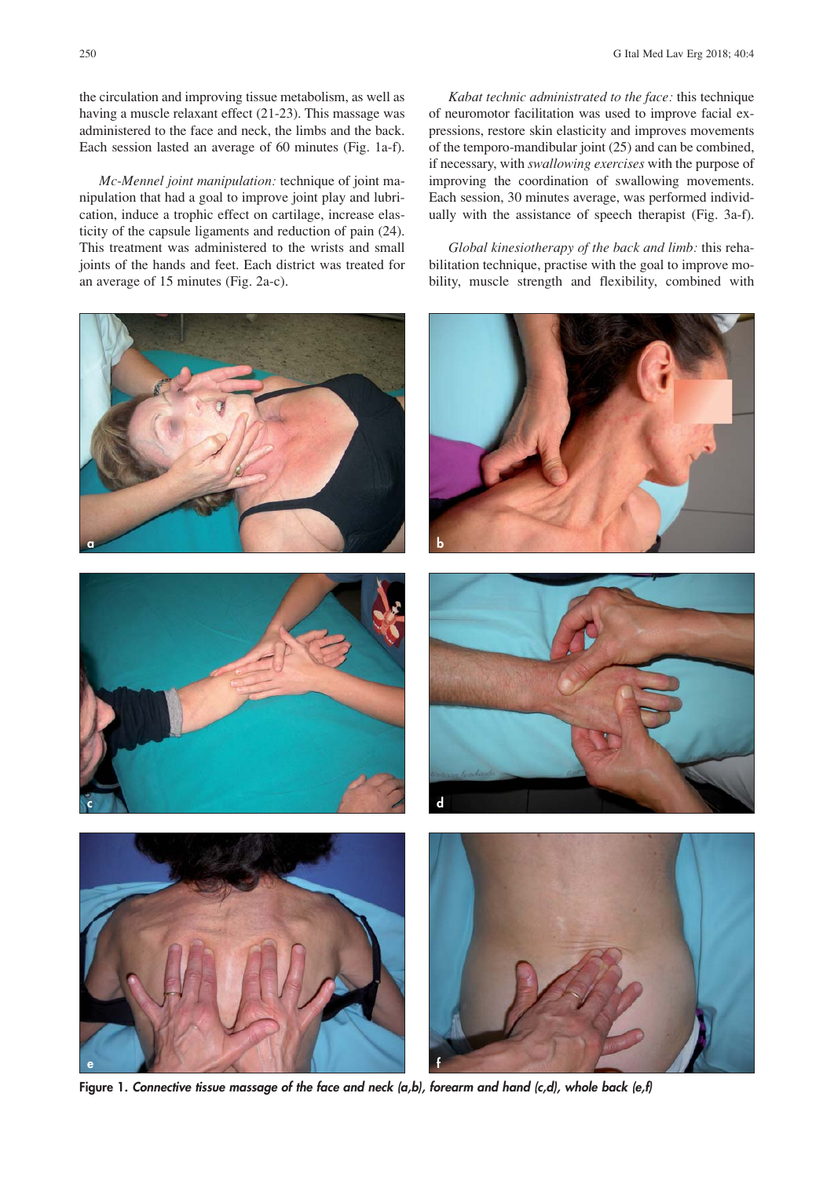the circulation and improving tissue metabolism, as well as having a muscle relaxant effect (21-23). This massage was administered to the face and neck, the limbs and the back. Each session lasted an average of 60 minutes (Fig. 1a-f).

*Mc-Mennel joint manipulation:* technique of joint manipulation that had a goal to improve joint play and lubrication, induce a trophic effect on cartilage, increase elasticity of the capsule ligaments and reduction of pain (24). This treatment was administered to the wrists and small joints of the hands and feet. Each district was treated for an average of 15 minutes (Fig. 2a-c).

**a b**



*Kabat technic administrated to the face:* this technique of neuromotor facilitation was used to improve facial expressions, restore skin elasticity and improves movements of the temporo-mandibular joint (25) and can be combined, if necessary, with *swallowing exercises* with the purpose of improving the coordination of swallowing movements. Each session, 30 minutes average, was performed individually with the assistance of speech therapist (Fig. 3a-f).

*Global kinesiotherapy of the back and limb:* this rehabilitation technique, practise with the goal to improve mobility, muscle strength and flexibility, combined with









**Figure 1.** *Connective tissue massage of the face and neck (a,b), forearm and hand (c,d), whole back (e,f)*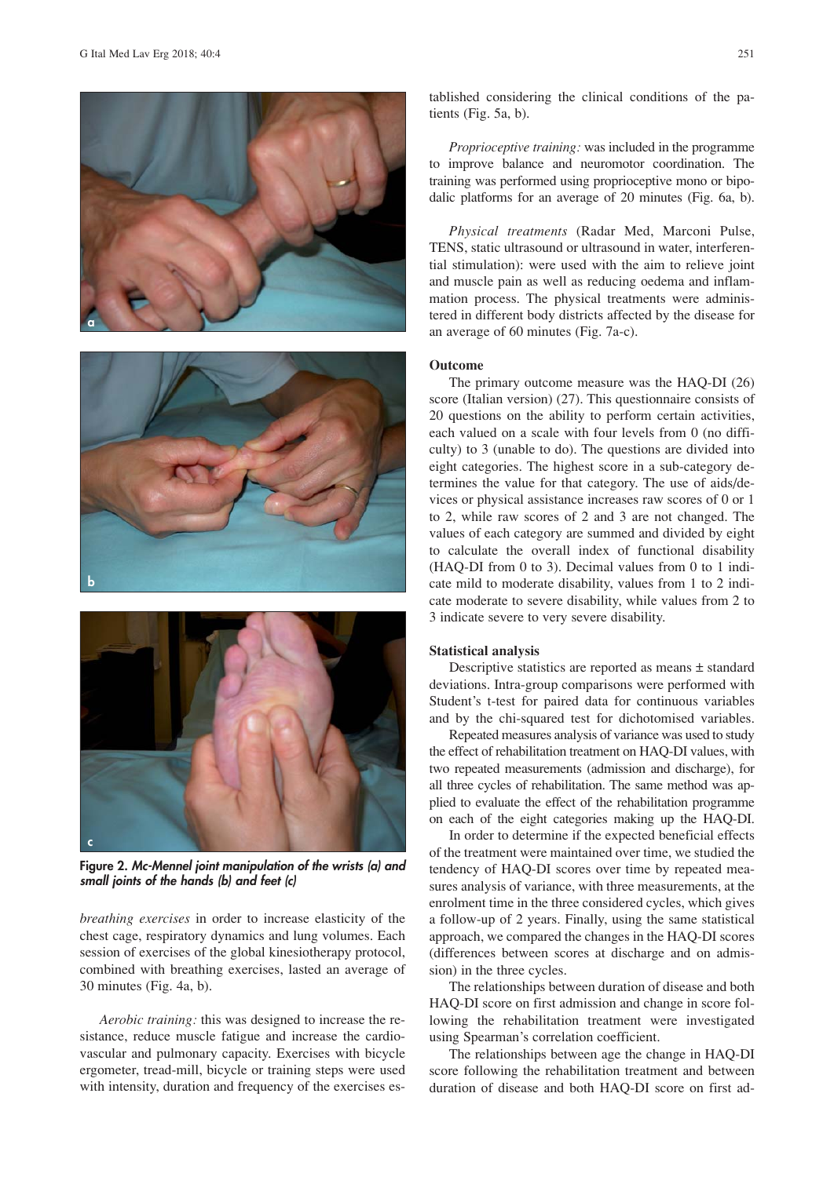





**Figure 2.** *Mc-Mennel joint manipulation of the wrists (a) and small joints of the hands (b) and feet (c)*

*breathing exercises* in order to increase elasticity of the chest cage, respiratory dynamics and lung volumes. Each session of exercises of the global kinesiotherapy protocol, combined with breathing exercises, lasted an average of 30 minutes (Fig. 4a, b).

*Aerobic training:* this was designed to increase the resistance, reduce muscle fatigue and increase the cardiovascular and pulmonary capacity. Exercises with bicycle ergometer, tread-mill, bicycle or training steps were used with intensity, duration and frequency of the exercises established considering the clinical conditions of the patients (Fig. 5a, b).

*Proprioceptive training:* was included in the programme to improve balance and neuromotor coordination. The training was performed using proprioceptive mono or bipodalic platforms for an average of 20 minutes (Fig. 6a, b).

*Physical treatments* (Radar Med, Marconi Pulse, TENS, static ultrasound or ultrasound in water, interferential stimulation): were used with the aim to relieve joint and muscle pain as well as reducing oedema and inflammation process. The physical treatments were administered in different body districts affected by the disease for an average of 60 minutes (Fig. 7a-c).

#### **Outcome**

The primary outcome measure was the HAQ-DI (26) score (Italian version) (27). This questionnaire consists of 20 questions on the ability to perform certain activities, each valued on a scale with four levels from 0 (no difficulty) to 3 (unable to do). The questions are divided into eight categories. The highest score in a sub-category determines the value for that category. The use of aids/devices or physical assistance increases raw scores of 0 or 1 to 2, while raw scores of 2 and 3 are not changed. The values of each category are summed and divided by eight to calculate the overall index of functional disability (HAQ-DI from 0 to 3). Decimal values from 0 to 1 indicate mild to moderate disability, values from 1 to 2 indicate moderate to severe disability, while values from 2 to 3 indicate severe to very severe disability.

#### **Statistical analysis**

Descriptive statistics are reported as means ± standard deviations. Intra-group comparisons were performed with Student's t-test for paired data for continuous variables and by the chi-squared test for dichotomised variables.

Repeated measures analysis of variance was used to study the effect of rehabilitation treatment on HAQ-DI values, with two repeated measurements (admission and discharge), for all three cycles of rehabilitation. The same method was applied to evaluate the effect of the rehabilitation programme on each of the eight categories making up the HAQ-DI.

In order to determine if the expected beneficial effects of the treatment were maintained over time, we studied the tendency of HAQ-DI scores over time by repeated measures analysis of variance, with three measurements, at the enrolment time in the three considered cycles, which gives a follow-up of 2 years. Finally, using the same statistical approach, we compared the changes in the HAQ-DI scores (differences between scores at discharge and on admission) in the three cycles.

The relationships between duration of disease and both HAQ-DI score on first admission and change in score following the rehabilitation treatment were investigated using Spearman's correlation coefficient.

The relationships between age the change in HAQ-DI score following the rehabilitation treatment and between duration of disease and both HAQ-DI score on first ad-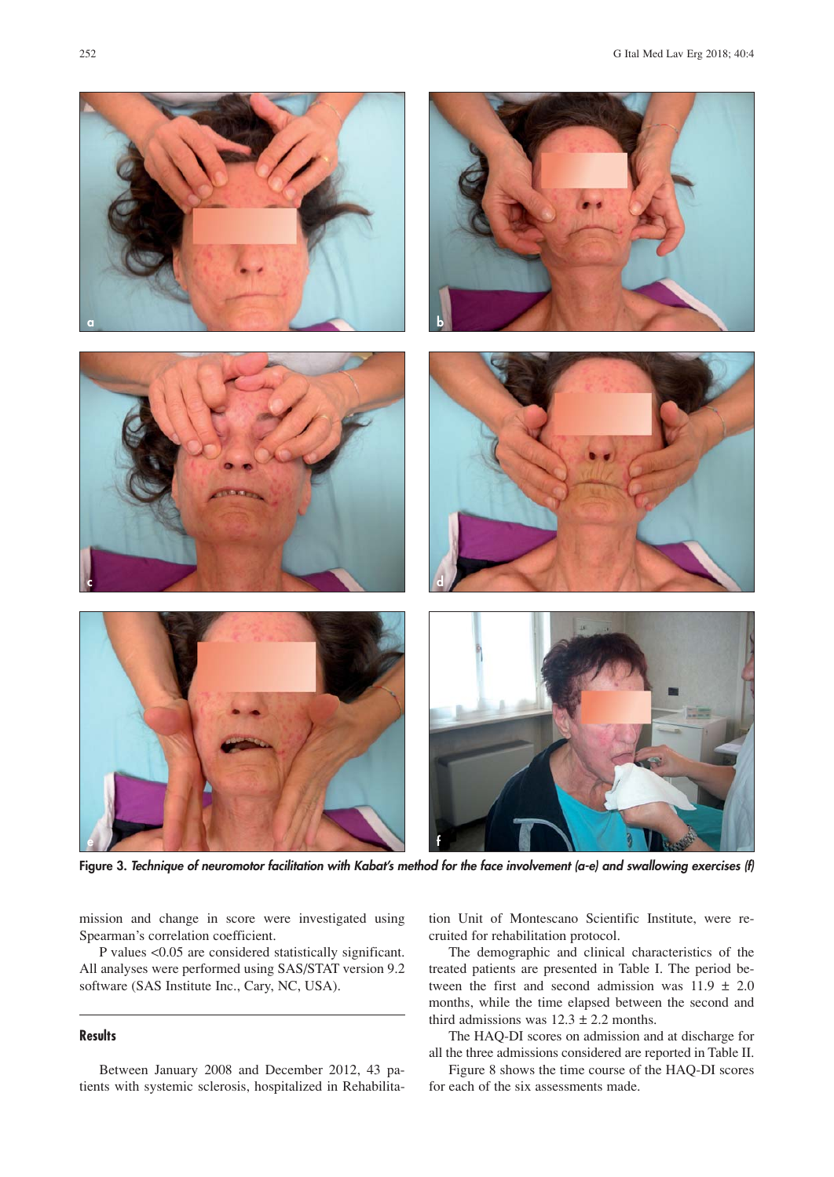

**Figure 3.** *Technique of neuromotor facilitation with Kabat's method for the face involvement (a-e) and swallowing exercises (f)*

mission and change in score were investigated using Spearman's correlation coefficient.

P values <0.05 are considered statistically significant. All analyses were performed using SAS/STAT version 9.2 software (SAS Institute Inc., Cary, NC, USA).

## **Results**

Between January 2008 and December 2012, 43 patients with systemic sclerosis, hospitalized in Rehabilitation Unit of Montescano Scientific Institute, were recruited for rehabilitation protocol.

The demographic and clinical characteristics of the treated patients are presented in Table I. The period between the first and second admission was  $11.9 \pm 2.0$ months, while the time elapsed between the second and third admissions was  $12.3 \pm 2.2$  months.

The HAQ-DI scores on admission and at discharge for all the three admissions considered are reported in Table II.

Figure 8 shows the time course of the HAQ-DI scores for each of the six assessments made.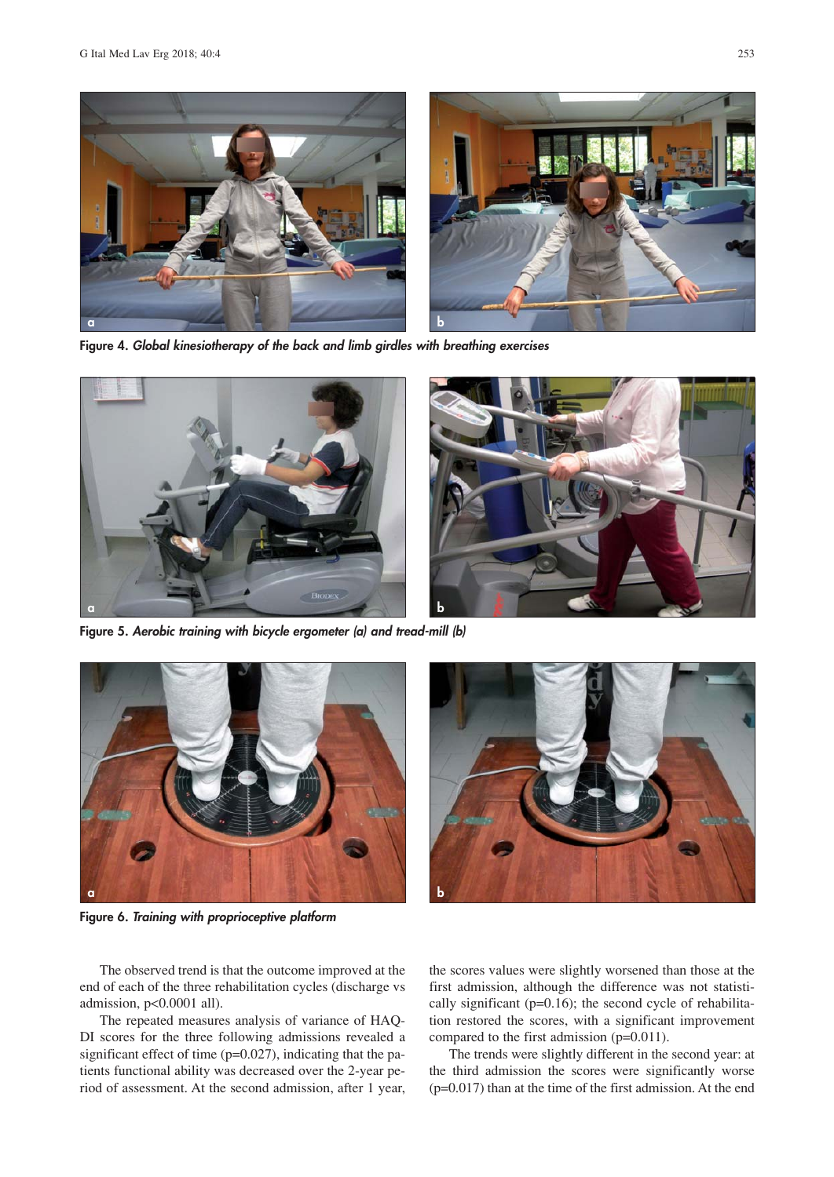

**Figure 4.** *Global kinesiotherapy of the back and limb girdles with breathing exercises*



**Figure 5.** *Aerobic training with bicycle ergometer (a) and tread-mill (b)*



**Figure 6.** *Training with proprioceptive platform*



The observed trend is that the outcome improved at the end of each of the three rehabilitation cycles (discharge vs admission, p<0.0001 all).

The repeated measures analysis of variance of HAQ-DI scores for the three following admissions revealed a significant effect of time (p=0.027), indicating that the patients functional ability was decreased over the 2-year period of assessment. At the second admission, after 1 year, the scores values were slightly worsened than those at the first admission, although the difference was not statistically significant (p=0.16); the second cycle of rehabilitation restored the scores, with a significant improvement compared to the first admission (p=0.011).

The trends were slightly different in the second year: at the third admission the scores were significantly worse (p=0.017) than at the time of the first admission. At the end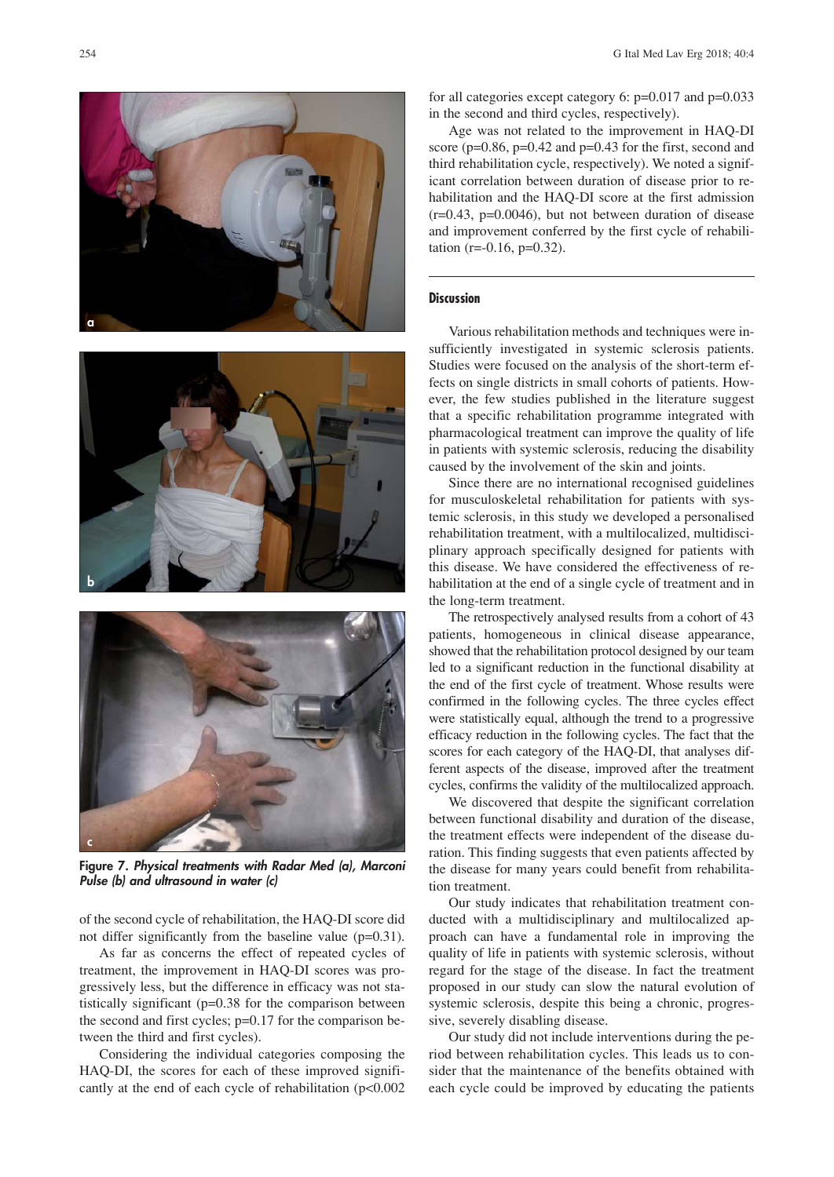





**Figure 7.** *Physical treatments with Radar Med (a), Marconi Pulse (b) and ultrasound in water (c)*

of the second cycle of rehabilitation, the HAQ-DI score did not differ significantly from the baseline value (p=0.31).

As far as concerns the effect of repeated cycles of treatment, the improvement in HAQ-DI scores was progressively less, but the difference in efficacy was not statistically significant (p=0.38 for the comparison between the second and first cycles; p=0.17 for the comparison between the third and first cycles).

Considering the individual categories composing the HAQ-DI, the scores for each of these improved significantly at the end of each cycle of rehabilitation (p<0.002 for all categories except category 6: p=0.017 and p=0.033 in the second and third cycles, respectively).

Age was not related to the improvement in HAQ-DI score (p=0.86, p=0.42 and p=0.43 for the first, second and third rehabilitation cycle, respectively). We noted a significant correlation between duration of disease prior to rehabilitation and the HAQ-DI score at the first admission  $(r=0.43, p=0.0046)$ , but not between duration of disease and improvement conferred by the first cycle of rehabilitation ( $r = -0.16$ ,  $p = 0.32$ ).

## **Discussion**

Various rehabilitation methods and techniques were insufficiently investigated in systemic sclerosis patients. Studies were focused on the analysis of the short-term effects on single districts in small cohorts of patients. However, the few studies published in the literature suggest that a specific rehabilitation programme integrated with pharmacological treatment can improve the quality of life in patients with systemic sclerosis, reducing the disability caused by the involvement of the skin and joints.

Since there are no international recognised guidelines for musculoskeletal rehabilitation for patients with systemic sclerosis, in this study we developed a personalised rehabilitation treatment, with a multilocalized, multidisciplinary approach specifically designed for patients with this disease. We have considered the effectiveness of rehabilitation at the end of a single cycle of treatment and in the long-term treatment.

The retrospectively analysed results from a cohort of 43 patients, homogeneous in clinical disease appearance, showed that the rehabilitation protocol designed by our team led to a significant reduction in the functional disability at the end of the first cycle of treatment. Whose results were confirmed in the following cycles. The three cycles effect were statistically equal, although the trend to a progressive efficacy reduction in the following cycles. The fact that the scores for each category of the HAQ-DI, that analyses different aspects of the disease, improved after the treatment cycles, confirms the validity of the multilocalized approach.

We discovered that despite the significant correlation between functional disability and duration of the disease, the treatment effects were independent of the disease duration. This finding suggests that even patients affected by the disease for many years could benefit from rehabilitation treatment.

Our study indicates that rehabilitation treatment conducted with a multidisciplinary and multilocalized approach can have a fundamental role in improving the quality of life in patients with systemic sclerosis, without regard for the stage of the disease. In fact the treatment proposed in our study can slow the natural evolution of systemic sclerosis, despite this being a chronic, progressive, severely disabling disease.

Our study did not include interventions during the period between rehabilitation cycles. This leads us to consider that the maintenance of the benefits obtained with each cycle could be improved by educating the patients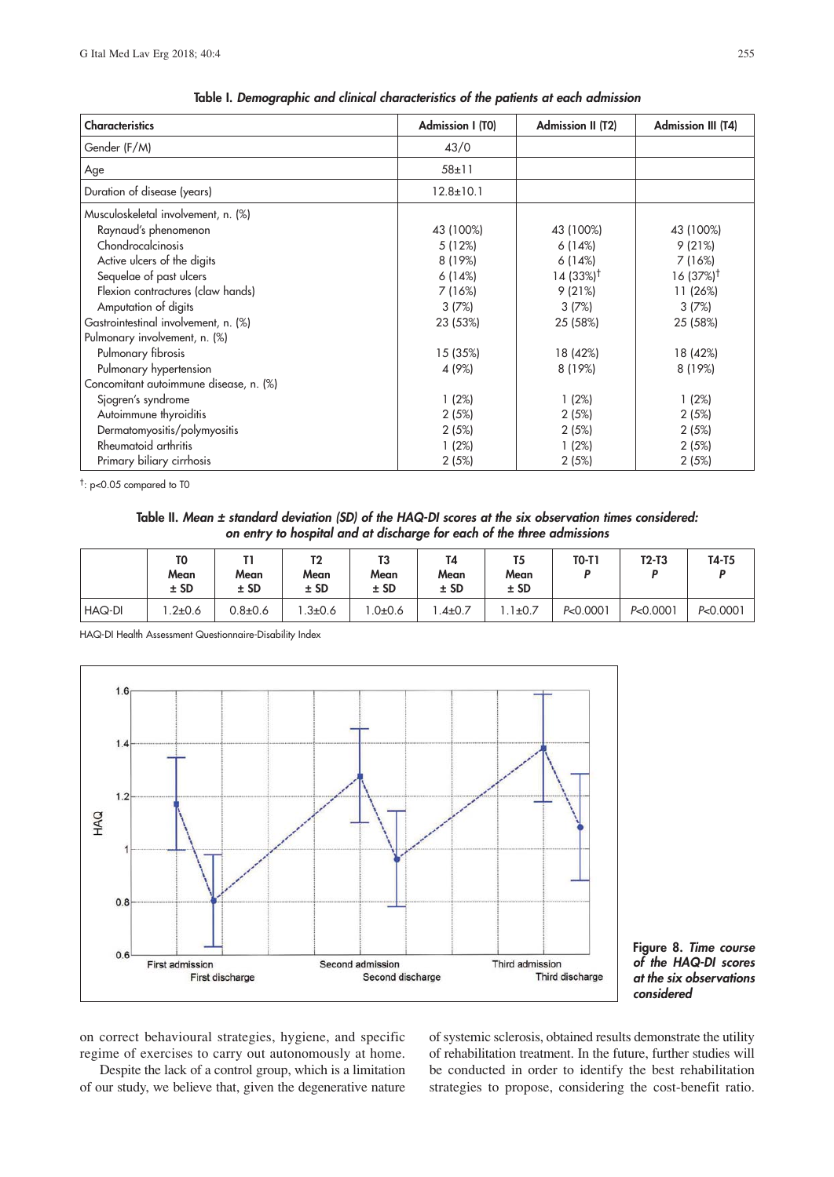| <b>Characteristics</b>                                                                                                                                                                                                                                                                                                           | <b>Admission I (T0)</b>                                                                         | <b>Admission II (T2)</b>                                                                                   | <b>Admission III (T4)</b>                                                                                   |
|----------------------------------------------------------------------------------------------------------------------------------------------------------------------------------------------------------------------------------------------------------------------------------------------------------------------------------|-------------------------------------------------------------------------------------------------|------------------------------------------------------------------------------------------------------------|-------------------------------------------------------------------------------------------------------------|
| Gender (F/M)                                                                                                                                                                                                                                                                                                                     | 43/0                                                                                            |                                                                                                            |                                                                                                             |
| Age                                                                                                                                                                                                                                                                                                                              | $58 \pm 11$                                                                                     |                                                                                                            |                                                                                                             |
| Duration of disease (years)                                                                                                                                                                                                                                                                                                      | $12.8 \pm 10.1$                                                                                 |                                                                                                            |                                                                                                             |
| Musculoskeletal involvement, n. (%)<br>Raynaud's phenomenon<br>Chondrocalcinosis<br>Active ulcers of the digits<br>Sequelae of past ulcers<br>Flexion contractures (claw hands)<br>Amputation of digits<br>Gastrointestinal involvement, n. (%)<br>Pulmonary involvement, n. (%)<br>Pulmonary fibrosis<br>Pulmonary hypertension | 43 (100%)<br>5 (12%)<br>8 (19%)<br>6(14%)<br>7 (16%)<br>3(7%)<br>23 (53%)<br>15 (35%)<br>4 (9%) | 43 (100%)<br>6(14%)<br>6(14%)<br>$14(33\%)^{\dagger}$<br>9(21%)<br>3(7%)<br>25 (58%)<br>18 (42%)<br>8(19%) | 43 (100%)<br>9(21%)<br>7(16%)<br>$16(37%)^{\dagger}$<br>11 (26%)<br>3(7%)<br>25 (58%)<br>18 (42%)<br>8(19%) |
| Concomitant autoimmune disease, n. (%)                                                                                                                                                                                                                                                                                           | 1(2%)                                                                                           | 1(2%)                                                                                                      | 1(2%)                                                                                                       |
| Sjogren's syndrome<br>Autoimmune thyroiditis<br>Dermatomyositis/polymyositis                                                                                                                                                                                                                                                     | 2(5%)<br>2(5%)                                                                                  | 2(5%)<br>2(5%)                                                                                             | 2(5%)<br>2(5%)                                                                                              |
| Rheumatoid arthritis<br>Primary biliary cirrhosis                                                                                                                                                                                                                                                                                | 1(2%)<br>2(5%)                                                                                  | 1(2%)<br>2(5%)                                                                                             | 2(5%)<br>2(5%)                                                                                              |

†: p<0.05 compared to T0

**Table II.** *Mean ± standard deviation (SD) of the HAQ-DI scores at the six observation times considered: on entry to hospital and at discharge for each of the three admissions*

|               | T0<br>Mean<br>$±$ SD | Mean<br>$±$ SD | Τ2<br>Mean<br>$±$ SD | T3<br>Mean<br>$±$ SD | T4<br>Mean<br>$±$ SD | T5<br>Mean<br>$±$ SD | <b>TO-T1</b> | $T2-T3$  | T4-T5    |
|---------------|----------------------|----------------|----------------------|----------------------|----------------------|----------------------|--------------|----------|----------|
| <b>HAQ-DI</b> | $.2 \pm 0.6$         | $0.8 + 0.6$    | $.3 \pm 0.6$         | .0 ± 0.6             | $.4 \pm 0.7$         | $.1 \pm 0.7$         | P<0.0001     | P<0.0001 | P<0.0001 |

HAQ-DI Health Assessment Questionnaire-Disability Index





on correct behavioural strategies, hygiene, and specific regime of exercises to carry out autonomously at home.

Despite the lack of a control group, which is a limitation of our study, we believe that, given the degenerative nature of systemic sclerosis, obtained results demonstrate the utility of rehabilitation treatment. In the future, further studies will be conducted in order to identify the best rehabilitation strategies to propose, considering the cost-benefit ratio.